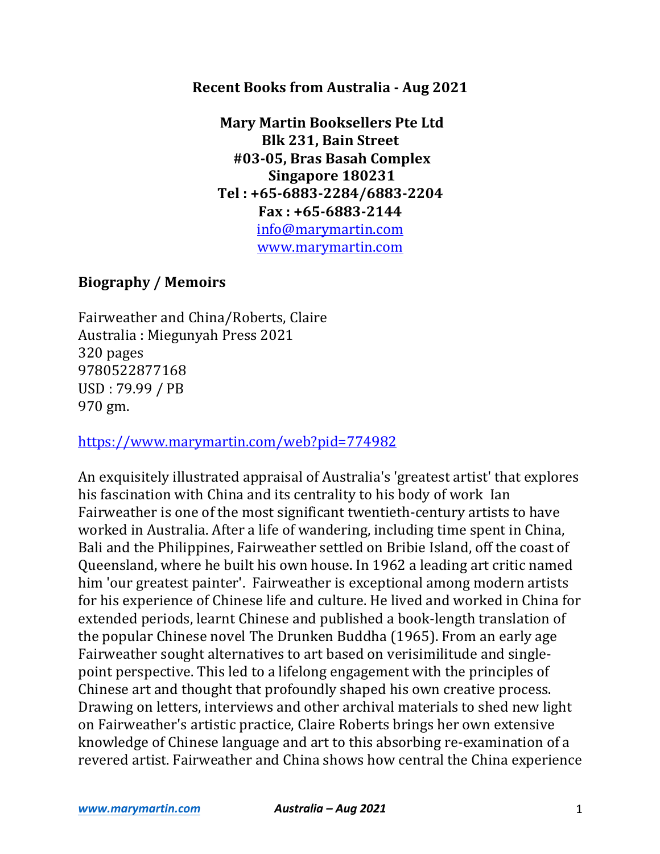#### **Recent Books from Australia - Aug 2021**

**Mary Martin Booksellers Pte Ltd Blk 231, Bain Street #03-05, Bras Basah Complex Singapore 180231 Tel : +65-6883-2284/6883-2204 Fax : +65-6883-2144**  info@marymartin.com www.marymartin.com

### **Biography / Memoirs**

Fairweather and China/Roberts, Claire Australia : Miegunyah Press 2021 320 pages 9780522877168 USD : 79.99 / PB 970 gm.

https://www.marymartin.com/web?pid=774982

An exquisitely illustrated appraisal of Australia's 'greatest artist' that explores his fascination with China and its centrality to his body of work Ian Fairweather is one of the most significant twentieth-century artists to have worked in Australia. After a life of wandering, including time spent in China, Bali and the Philippines, Fairweather settled on Bribie Island, off the coast of Queensland, where he built his own house. In 1962 a leading art critic named him 'our greatest painter'. Fairweather is exceptional among modern artists for his experience of Chinese life and culture. He lived and worked in China for extended periods, learnt Chinese and published a book-length translation of the popular Chinese novel The Drunken Buddha (1965). From an early age Fairweather sought alternatives to art based on verisimilitude and singlepoint perspective. This led to a lifelong engagement with the principles of Chinese art and thought that profoundly shaped his own creative process. Drawing on letters, interviews and other archival materials to shed new light on Fairweather's artistic practice, Claire Roberts brings her own extensive knowledge of Chinese language and art to this absorbing re-examination of a revered artist. Fairweather and China shows how central the China experience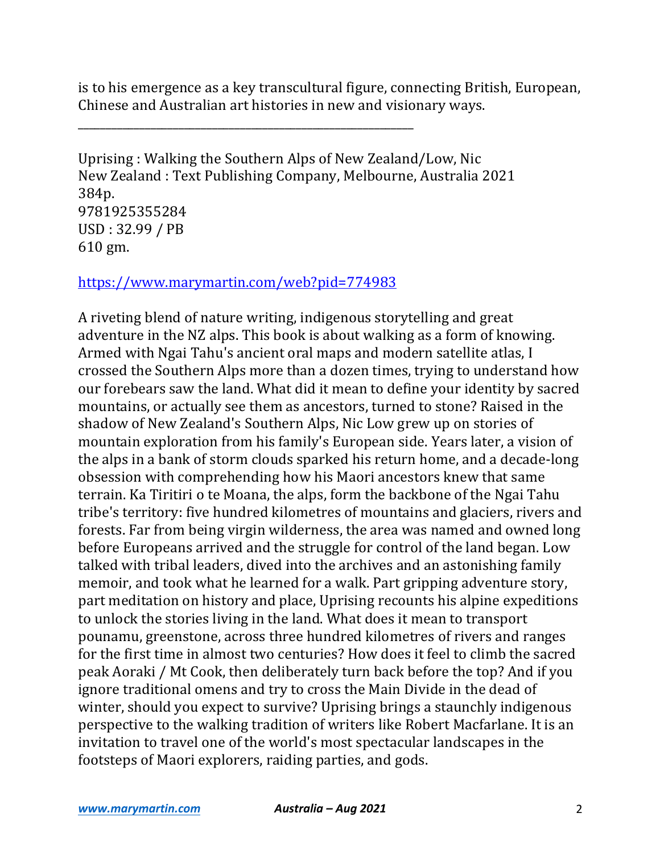is to his emergence as a key transcultural figure, connecting British, European, Chinese and Australian art histories in new and visionary ways.

Uprising : Walking the Southern Alps of New Zealand/Low, Nic New Zealand : Text Publishing Company, Melbourne, Australia 2021 384p. 9781925355284 USD : 32.99 / PB 610 gm.

https://www.marymartin.com/web?pid=774983

\_\_\_\_\_\_\_\_\_\_\_\_\_\_\_\_\_\_\_\_\_\_\_\_\_\_\_\_\_\_\_\_\_\_\_\_\_\_\_\_\_\_\_\_\_\_\_\_\_\_\_\_\_\_\_\_\_\_\_\_

A riveting blend of nature writing, indigenous storytelling and great adventure in the NZ alps. This book is about walking as a form of knowing. Armed with Ngai Tahu's ancient oral maps and modern satellite atlas, I crossed the Southern Alps more than a dozen times, trying to understand how our forebears saw the land. What did it mean to define your identity by sacred mountains, or actually see them as ancestors, turned to stone? Raised in the shadow of New Zealand's Southern Alps, Nic Low grew up on stories of mountain exploration from his family's European side. Years later, a vision of the alps in a bank of storm clouds sparked his return home, and a decade-long obsession with comprehending how his Maori ancestors knew that same terrain. Ka Tiritiri o te Moana, the alps, form the backbone of the Ngai Tahu tribe's territory: five hundred kilometres of mountains and glaciers, rivers and forests. Far from being virgin wilderness, the area was named and owned long before Europeans arrived and the struggle for control of the land began. Low talked with tribal leaders, dived into the archives and an astonishing family memoir, and took what he learned for a walk. Part gripping adventure story, part meditation on history and place, Uprising recounts his alpine expeditions to unlock the stories living in the land. What does it mean to transport pounamu, greenstone, across three hundred kilometres of rivers and ranges for the first time in almost two centuries? How does it feel to climb the sacred peak Aoraki / Mt Cook, then deliberately turn back before the top? And if you ignore traditional omens and try to cross the Main Divide in the dead of winter, should you expect to survive? Uprising brings a staunchly indigenous perspective to the walking tradition of writers like Robert Macfarlane. It is an invitation to travel one of the world's most spectacular landscapes in the footsteps of Maori explorers, raiding parties, and gods.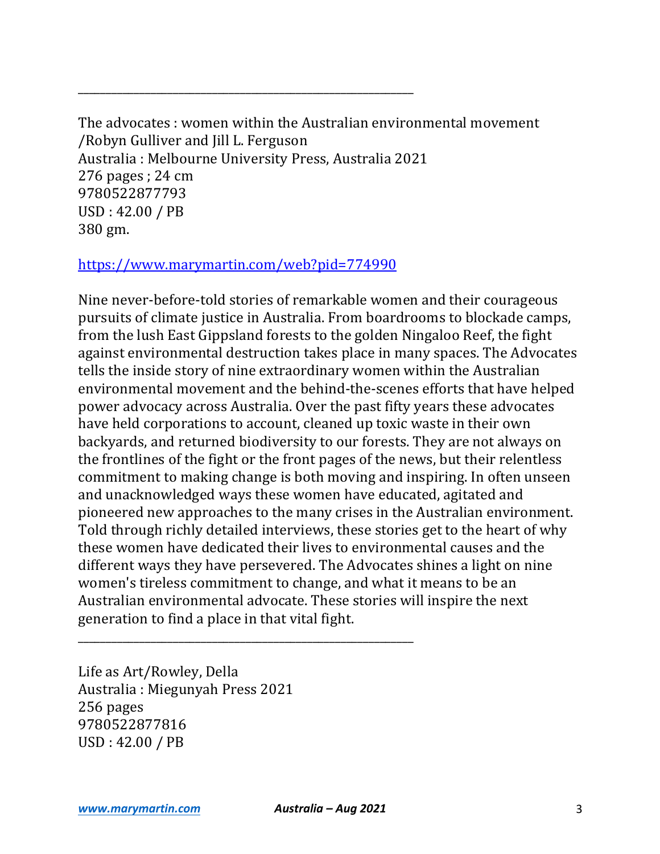The advocates : women within the Australian environmental movement /Robyn Gulliver and Jill L. Ferguson Australia : Melbourne University Press, Australia 2021  $276$  pages ;  $24$  cm 9780522877793  $USD:42.00 / PB$ 380 gm.

#### https://www.marymartin.com/web?pid=774990

\_\_\_\_\_\_\_\_\_\_\_\_\_\_\_\_\_\_\_\_\_\_\_\_\_\_\_\_\_\_\_\_\_\_\_\_\_\_\_\_\_\_\_\_\_\_\_\_\_\_\_\_\_\_\_\_\_\_\_\_

Nine never-before-told stories of remarkable women and their courageous pursuits of climate justice in Australia. From boardrooms to blockade camps, from the lush East Gippsland forests to the golden Ningaloo Reef, the fight against environmental destruction takes place in many spaces. The Advocates tells the inside story of nine extraordinary women within the Australian environmental movement and the behind-the-scenes efforts that have helped power advocacy across Australia. Over the past fifty years these advocates have held corporations to account, cleaned up toxic waste in their own backyards, and returned biodiversity to our forests. They are not always on the frontlines of the fight or the front pages of the news, but their relentless commitment to making change is both moving and inspiring. In often unseen and unacknowledged ways these women have educated, agitated and pioneered new approaches to the many crises in the Australian environment. Told through richly detailed interviews, these stories get to the heart of why these women have dedicated their lives to environmental causes and the different ways they have persevered. The Advocates shines a light on nine women's tireless commitment to change, and what it means to be an Australian environmental advocate. These stories will inspire the next generation to find a place in that vital fight.

Life as Art/Rowley, Della Australia: Miegunyah Press 2021 256 pages 9780522877816 USD: 42.00 / PB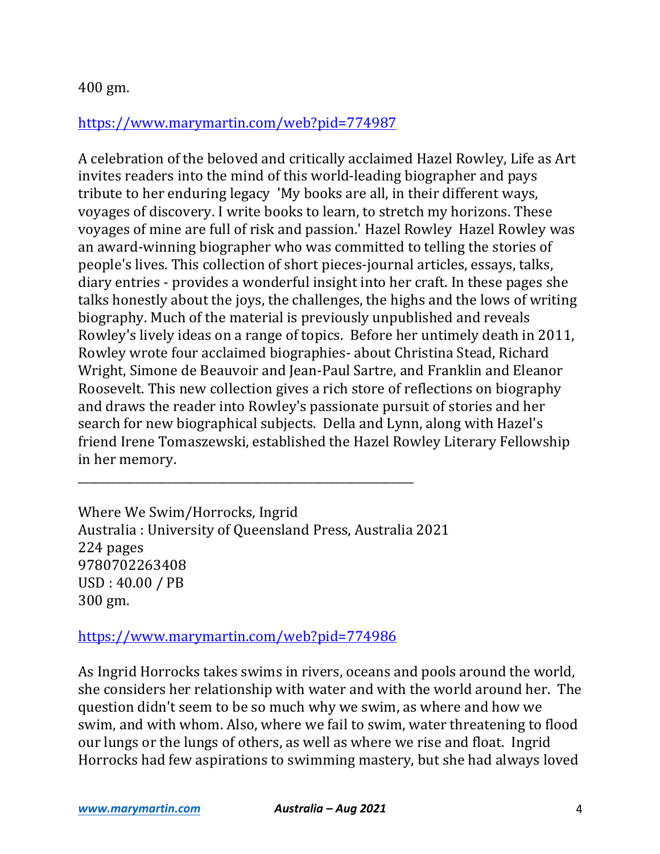# https://www.marymartin.com/web?pid=774987

A celebration of the beloved and critically acclaimed Hazel Rowley, Life as Art invites readers into the mind of this world-leading biographer and pays tribute to her enduring legacy 'My books are all, in their different ways, voyages of discovery. I write books to learn, to stretch my horizons. These voyages of mine are full of risk and passion.' Hazel Rowley Hazel Rowley was an award-winning biographer who was committed to telling the stories of people's lives. This collection of short pieces-journal articles, essays, talks, diary entries - provides a wonderful insight into her craft. In these pages she talks honestly about the joys, the challenges, the highs and the lows of writing biography. Much of the material is previously unpublished and reveals Rowley's lively ideas on a range of topics. Before her untimely death in 2011, Rowley wrote four acclaimed biographies- about Christina Stead, Richard Wright, Simone de Beauvoir and Jean-Paul Sartre, and Franklin and Eleanor Roosevelt. This new collection gives a rich store of reflections on biography and draws the reader into Rowley's passionate pursuit of stories and her search for new biographical subjects. Della and Lynn, along with Hazel's friend Irene Tomaszewski, established the Hazel Rowley Literary Fellowship in her memory.

Where We Swim/Horrocks, Ingrid Australia: University of Queensland Press, Australia 2021 224 pages 9780702263408 USD: 40.00 / PB 300 gm.

\_\_\_\_\_\_\_\_\_\_\_\_\_\_\_\_\_\_\_\_\_\_\_\_\_\_\_\_\_\_\_\_\_\_\_\_\_\_\_\_\_\_\_\_\_\_\_\_\_\_\_\_\_\_\_\_\_\_\_\_

https://www.marymartin.com/web?pid=774986

As Ingrid Horrocks takes swims in rivers, oceans and pools around the world, she considers her relationship with water and with the world around her. The question didn't seem to be so much why we swim, as where and how we swim, and with whom. Also, where we fail to swim, water threatening to flood our lungs or the lungs of others, as well as where we rise and float. Ingrid Horrocks had few aspirations to swimming mastery, but she had always loved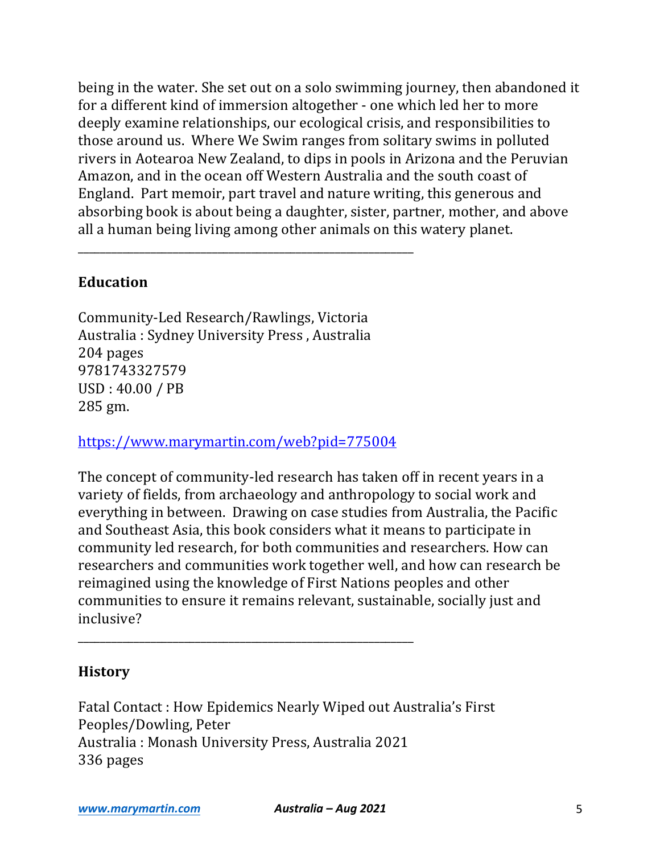being in the water. She set out on a solo swimming journey, then abandoned it for a different kind of immersion altogether - one which led her to more deeply examine relationships, our ecological crisis, and responsibilities to those around us. Where We Swim ranges from solitary swims in polluted rivers in Aotearoa New Zealand, to dips in pools in Arizona and the Peruvian Amazon, and in the ocean off Western Australia and the south coast of England. Part memoir, part travel and nature writing, this generous and absorbing book is about being a daughter, sister, partner, mother, and above all a human being living among other animals on this watery planet.

## **Education**

Community-Led Research/Rawlings, Victoria Australia : Sydney University Press, Australia 204 pages 9781743327579 USD: 40.00 / PB 285 gm.

\_\_\_\_\_\_\_\_\_\_\_\_\_\_\_\_\_\_\_\_\_\_\_\_\_\_\_\_\_\_\_\_\_\_\_\_\_\_\_\_\_\_\_\_\_\_\_\_\_\_\_\_\_\_\_\_\_\_\_\_

https://www.marymartin.com/web?pid=775004

\_\_\_\_\_\_\_\_\_\_\_\_\_\_\_\_\_\_\_\_\_\_\_\_\_\_\_\_\_\_\_\_\_\_\_\_\_\_\_\_\_\_\_\_\_\_\_\_\_\_\_\_\_\_\_\_\_\_\_\_

The concept of community-led research has taken off in recent years in a variety of fields, from archaeology and anthropology to social work and everything in between. Drawing on case studies from Australia, the Pacific and Southeast Asia, this book considers what it means to participate in community led research, for both communities and researchers. How can researchers and communities work together well, and how can research be reimagined using the knowledge of First Nations peoples and other communities to ensure it remains relevant, sustainable, socially just and inclusive?

# **History**

Fatal Contact : How Epidemics Nearly Wiped out Australia's First Peoples/Dowling, Peter Australia : Monash University Press, Australia 2021 336 pages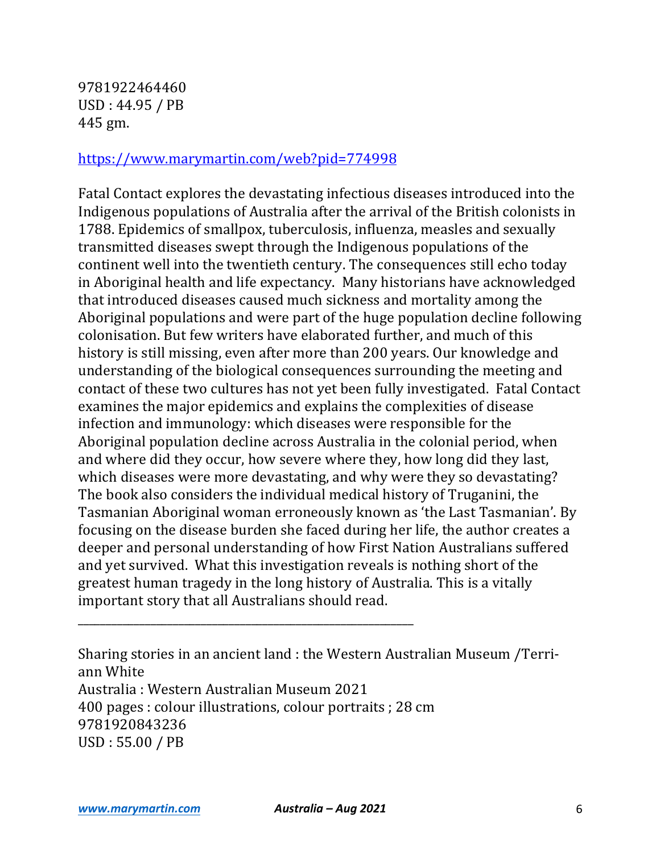9781922464460 USD: 44.95 / PB 445 gm.

#### https://www.marymartin.com/web?pid=774998

Fatal Contact explores the devastating infectious diseases introduced into the Indigenous populations of Australia after the arrival of the British colonists in 1788. Epidemics of smallpox, tuberculosis, influenza, measles and sexually transmitted diseases swept through the Indigenous populations of the continent well into the twentieth century. The consequences still echo today in Aboriginal health and life expectancy. Many historians have acknowledged that introduced diseases caused much sickness and mortality among the Aboriginal populations and were part of the huge population decline following colonisation. But few writers have elaborated further, and much of this history is still missing, even after more than 200 years. Our knowledge and understanding of the biological consequences surrounding the meeting and contact of these two cultures has not yet been fully investigated. Fatal Contact examines the major epidemics and explains the complexities of disease infection and immunology: which diseases were responsible for the Aboriginal population decline across Australia in the colonial period, when and where did they occur, how severe where they, how long did they last, which diseases were more devastating, and why were they so devastating? The book also considers the individual medical history of Truganini, the Tasmanian Aboriginal woman erroneously known as 'the Last Tasmanian'. By focusing on the disease burden she faced during her life, the author creates a deeper and personal understanding of how First Nation Australians suffered and yet survived. What this investigation reveals is nothing short of the greatest human tragedy in the long history of Australia. This is a vitally important story that all Australians should read.

Sharing stories in an ancient land : the Western Australian Museum /Terriann White Australia : Western Australian Museum 2021 400 pages : colour illustrations, colour portraits ; 28 cm 9781920843236 USD : 55.00 / PB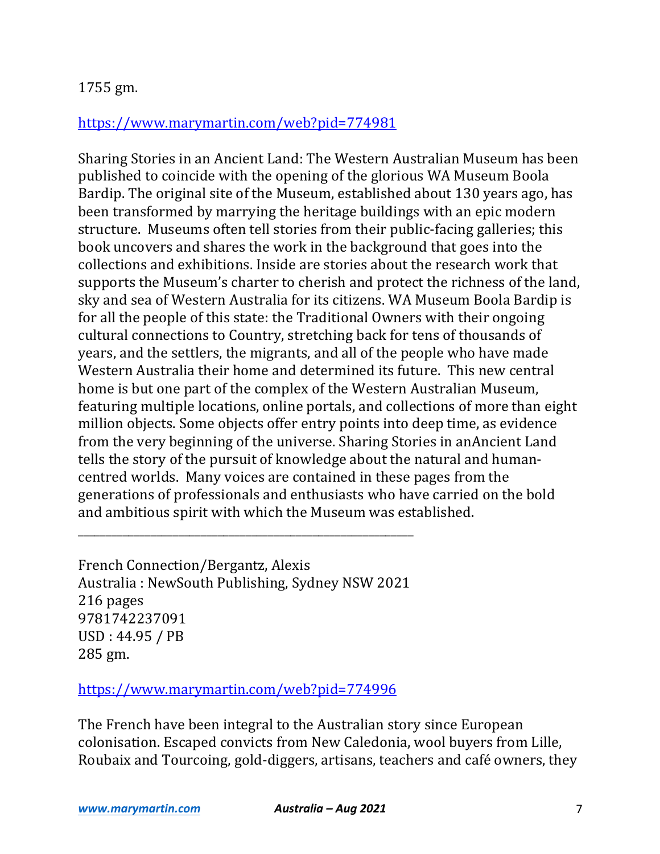## https://www.marymartin.com/web?pid=774981

Sharing Stories in an Ancient Land: The Western Australian Museum has been published to coincide with the opening of the glorious WA Museum Boola Bardip. The original site of the Museum, established about 130 years ago, has been transformed by marrying the heritage buildings with an epic modern structure. Museums often tell stories from their public-facing galleries; this book uncovers and shares the work in the background that goes into the collections and exhibitions. Inside are stories about the research work that supports the Museum's charter to cherish and protect the richness of the land, sky and sea of Western Australia for its citizens. WA Museum Boola Bardip is for all the people of this state: the Traditional Owners with their ongoing cultural connections to Country, stretching back for tens of thousands of years, and the settlers, the migrants, and all of the people who have made Western Australia their home and determined its future. This new central home is but one part of the complex of the Western Australian Museum, featuring multiple locations, online portals, and collections of more than eight million objects. Some objects offer entry points into deep time, as evidence from the very beginning of the universe. Sharing Stories in anAncient Land tells the story of the pursuit of knowledge about the natural and humancentred worlds. Many voices are contained in these pages from the generations of professionals and enthusiasts who have carried on the bold and ambitious spirit with which the Museum was established.

French Connection/Bergantz, Alexis Australia: NewSouth Publishing, Sydney NSW 2021 216 pages 9781742237091 USD: 44.95 / PB 285 gm.

\_\_\_\_\_\_\_\_\_\_\_\_\_\_\_\_\_\_\_\_\_\_\_\_\_\_\_\_\_\_\_\_\_\_\_\_\_\_\_\_\_\_\_\_\_\_\_\_\_\_\_\_\_\_\_\_\_\_\_\_

https://www.marymartin.com/web?pid=774996

The French have been integral to the Australian story since European colonisation. Escaped convicts from New Caledonia, wool buyers from Lille, Roubaix and Tourcoing, gold-diggers, artisans, teachers and café owners, they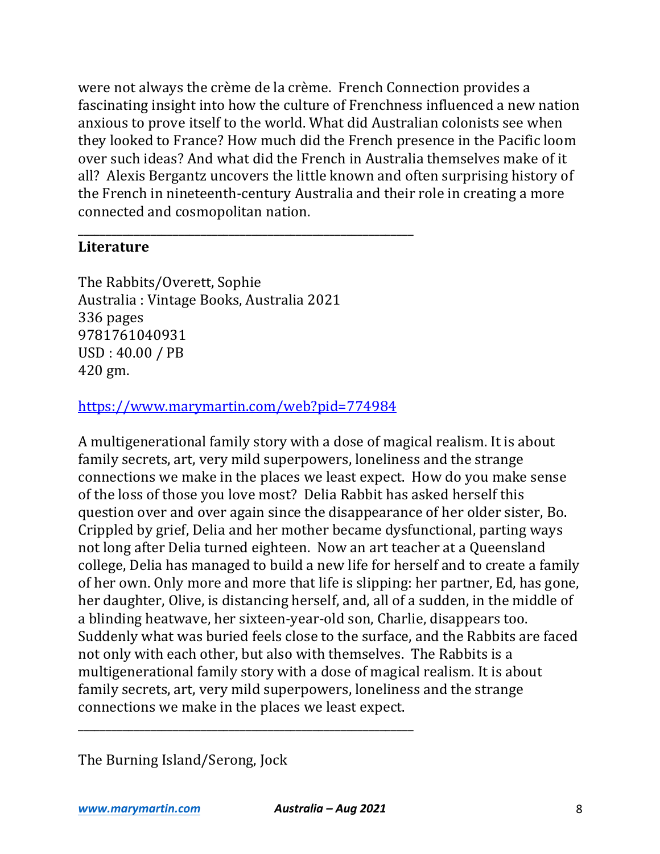were not always the crème de la crème. French Connection provides a fascinating insight into how the culture of Frenchness influenced a new nation anxious to prove itself to the world. What did Australian colonists see when they looked to France? How much did the French presence in the Pacific loom over such ideas? And what did the French in Australia themselves make of it all? Alexis Bergantz uncovers the little known and often surprising history of the French in nineteenth-century Australia and their role in creating a more connected and cosmopolitan nation.

## **Literature**

The Rabbits/Overett, Sophie Australia : Vintage Books, Australia 2021 336 pages 9781761040931 USD: 40.00 / PB 420 gm.

## https://www.marymartin.com/web?pid=774984

\_\_\_\_\_\_\_\_\_\_\_\_\_\_\_\_\_\_\_\_\_\_\_\_\_\_\_\_\_\_\_\_\_\_\_\_\_\_\_\_\_\_\_\_\_\_\_\_\_\_\_\_\_\_\_\_\_\_\_\_

A multigenerational family story with a dose of magical realism. It is about family secrets, art, very mild superpowers, loneliness and the strange connections we make in the places we least expect. How do you make sense of the loss of those you love most? Delia Rabbit has asked herself this question over and over again since the disappearance of her older sister, Bo. Crippled by grief, Delia and her mother became dysfunctional, parting ways not long after Delia turned eighteen. Now an art teacher at a Queensland college, Delia has managed to build a new life for herself and to create a family of her own. Only more and more that life is slipping: her partner, Ed, has gone, her daughter, Olive, is distancing herself, and, all of a sudden, in the middle of a blinding heatwave, her sixteen-year-old son, Charlie, disappears too. Suddenly what was buried feels close to the surface, and the Rabbits are faced not only with each other, but also with themselves. The Rabbits is a multigenerational family story with a dose of magical realism. It is about family secrets, art, very mild superpowers, loneliness and the strange connections we make in the places we least expect.

The Burning Island/Serong, Jock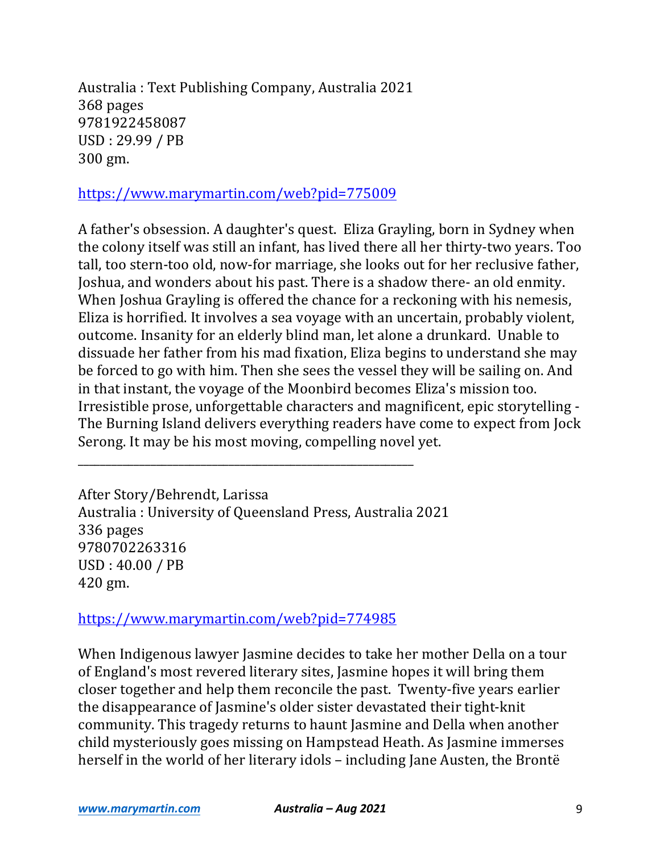Australia : Text Publishing Company, Australia 2021 368 pages 9781922458087 USD : 29.99 / PB 300 gm.

# https://www.marymartin.com/web?pid=775009

A father's obsession. A daughter's quest. Eliza Grayling, born in Sydney when the colony itself was still an infant, has lived there all her thirty-two years. Too tall, too stern-too old, now-for marriage, she looks out for her reclusive father, Joshua, and wonders about his past. There is a shadow there- an old enmity. When Joshua Grayling is offered the chance for a reckoning with his nemesis, Eliza is horrified. It involves a sea voyage with an uncertain, probably violent, outcome. Insanity for an elderly blind man, let alone a drunkard. Unable to dissuade her father from his mad fixation, Eliza begins to understand she may be forced to go with him. Then she sees the vessel they will be sailing on. And in that instant, the voyage of the Moonbird becomes Eliza's mission too. Irresistible prose, unforgettable characters and magnificent, epic storytelling -The Burning Island delivers everything readers have come to expect from Jock Serong. It may be his most moving, compelling novel yet.

After Story/Behrendt, Larissa Australia : University of Queensland Press, Australia 2021 336 pages 9780702263316 USD: 40.00 / PB 420 gm.

\_\_\_\_\_\_\_\_\_\_\_\_\_\_\_\_\_\_\_\_\_\_\_\_\_\_\_\_\_\_\_\_\_\_\_\_\_\_\_\_\_\_\_\_\_\_\_\_\_\_\_\_\_\_\_\_\_\_\_\_

https://www.marymartin.com/web?pid=774985

When Indigenous lawyer Jasmine decides to take her mother Della on a tour of England's most revered literary sites, Jasmine hopes it will bring them closer together and help them reconcile the past. Twenty-five years earlier the disappearance of Jasmine's older sister devastated their tight-knit community. This tragedy returns to haunt Jasmine and Della when another child mysteriously goes missing on Hampstead Heath. As Jasmine immerses herself in the world of her literary idols - including Jane Austen, the Brontë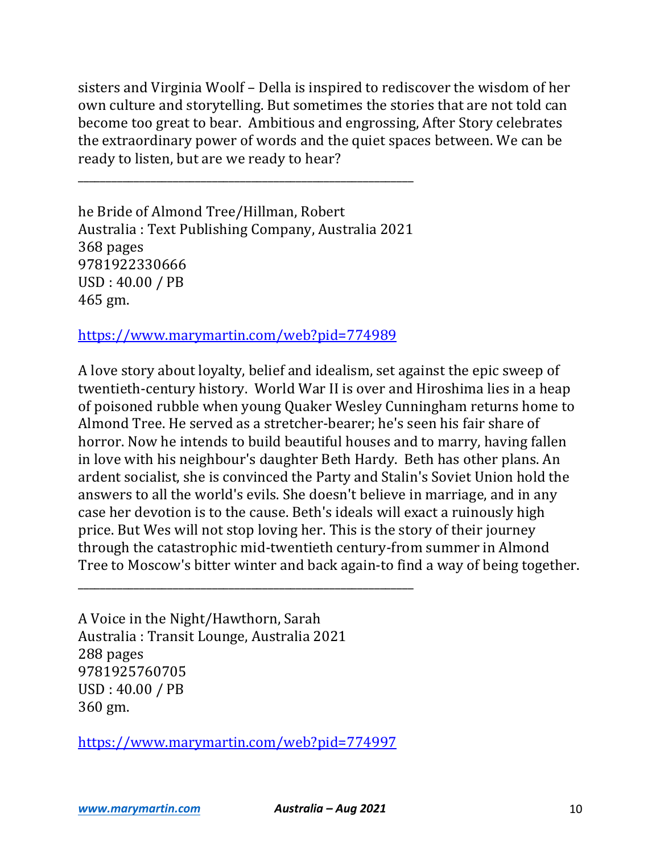sisters and Virginia Woolf – Della is inspired to rediscover the wisdom of her own culture and storytelling. But sometimes the stories that are not told can become too great to bear. Ambitious and engrossing, After Story celebrates the extraordinary power of words and the quiet spaces between. We can be ready to listen, but are we ready to hear?

he Bride of Almond Tree/Hillman, Robert Australia : Text Publishing Company, Australia 2021 368 pages 9781922330666  $USD: 40.00 / PB$ 465 gm.

\_\_\_\_\_\_\_\_\_\_\_\_\_\_\_\_\_\_\_\_\_\_\_\_\_\_\_\_\_\_\_\_\_\_\_\_\_\_\_\_\_\_\_\_\_\_\_\_\_\_\_\_\_\_\_\_\_\_\_\_

https://www.marymartin.com/web?pid=774989

A love story about loyalty, belief and idealism, set against the epic sweep of twentieth-century history. World War II is over and Hiroshima lies in a heap of poisoned rubble when young Quaker Wesley Cunningham returns home to Almond Tree. He served as a stretcher-bearer; he's seen his fair share of horror. Now he intends to build beautiful houses and to marry, having fallen in love with his neighbour's daughter Beth Hardy. Beth has other plans. An ardent socialist, she is convinced the Party and Stalin's Soviet Union hold the answers to all the world's evils. She doesn't believe in marriage, and in any case her devotion is to the cause. Beth's ideals will exact a ruinously high price. But Wes will not stop loving her. This is the story of their journey through the catastrophic mid-twentieth century-from summer in Almond Tree to Moscow's bitter winter and back again-to find a way of being together.

A Voice in the Night/Hawthorn, Sarah Australia : Transit Lounge, Australia 2021 288 pages 9781925760705 USD : 40.00 / PB 360 gm.

https://www.marymartin.com/web?pid=774997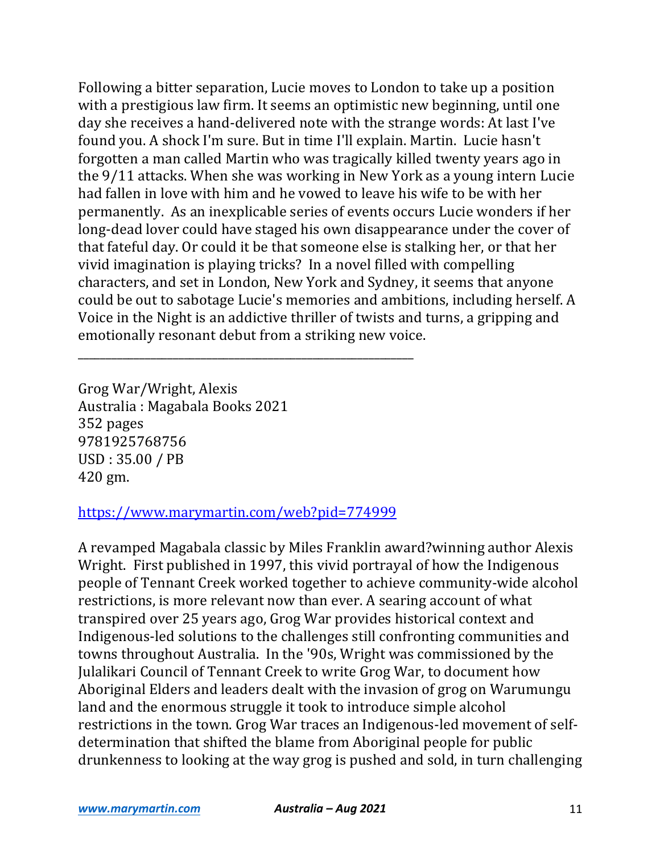Following a bitter separation, Lucie moves to London to take up a position with a prestigious law firm. It seems an optimistic new beginning, until one day she receives a hand-delivered note with the strange words: At last I've found you. A shock I'm sure. But in time I'll explain. Martin. Lucie hasn't forgotten a man called Martin who was tragically killed twenty years ago in the 9/11 attacks. When she was working in New York as a young intern Lucie had fallen in love with him and he vowed to leave his wife to be with her permanently. As an inexplicable series of events occurs Lucie wonders if her long-dead lover could have staged his own disappearance under the cover of that fateful day. Or could it be that someone else is stalking her, or that her vivid imagination is playing tricks? In a novel filled with compelling characters, and set in London, New York and Sydney, it seems that anyone could be out to sabotage Lucie's memories and ambitions, including herself. A Voice in the Night is an addictive thriller of twists and turns, a gripping and emotionally resonant debut from a striking new voice.

Grog War/Wright, Alexis Australia : Magabala Books 2021 352 pages 9781925768756 USD : 35.00 / PB 420 gm.

## https://www.marymartin.com/web?pid=774999

\_\_\_\_\_\_\_\_\_\_\_\_\_\_\_\_\_\_\_\_\_\_\_\_\_\_\_\_\_\_\_\_\_\_\_\_\_\_\_\_\_\_\_\_\_\_\_\_\_\_\_\_\_\_\_\_\_\_\_\_

A revamped Magabala classic by Miles Franklin award?winning author Alexis Wright. First published in 1997, this vivid portrayal of how the Indigenous people of Tennant Creek worked together to achieve community-wide alcohol restrictions, is more relevant now than ever. A searing account of what transpired over 25 years ago, Grog War provides historical context and Indigenous-led solutions to the challenges still confronting communities and towns throughout Australia. In the '90s, Wright was commissioned by the Julalikari Council of Tennant Creek to write Grog War, to document how Aboriginal Elders and leaders dealt with the invasion of grog on Warumungu land and the enormous struggle it took to introduce simple alcohol restrictions in the town. Grog War traces an Indigenous-led movement of selfdetermination that shifted the blame from Aboriginal people for public drunkenness to looking at the way grog is pushed and sold, in turn challenging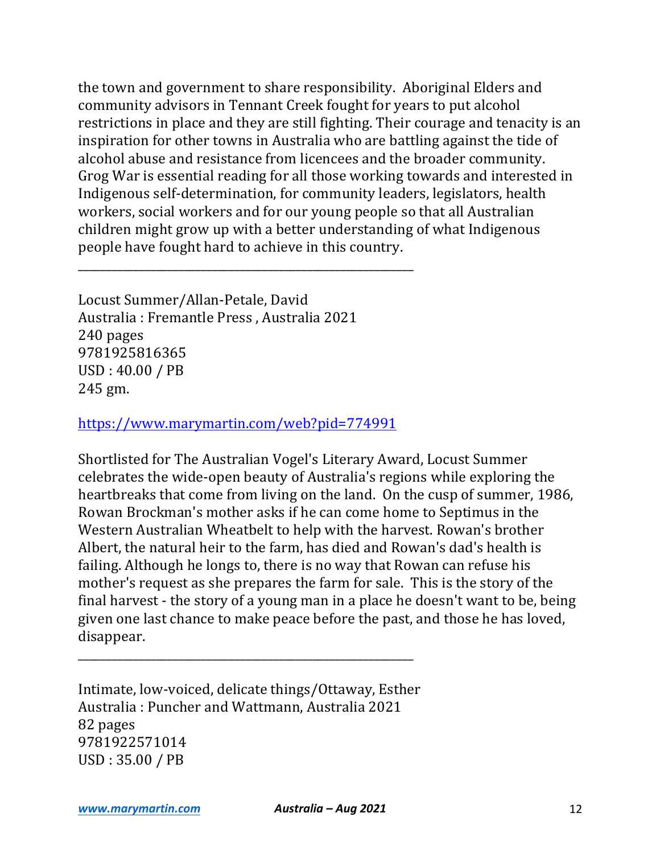the town and government to share responsibility. Aboriginal Elders and community advisors in Tennant Creek fought for years to put alcohol restrictions in place and they are still fighting. Their courage and tenacity is an inspiration for other towns in Australia who are battling against the tide of alcohol abuse and resistance from licencees and the broader community. Grog War is essential reading for all those working towards and interested in Indigenous self-determination, for community leaders, legislators, health workers, social workers and for our young people so that all Australian children might grow up with a better understanding of what Indigenous people have fought hard to achieve in this country.

Locust Summer/Allan-Petale, David Australia : Fremantle Press, Australia 2021 240 pages 9781925816365 USD: 40.00 / PB 245 gm.

https://www.marymartin.com/web?pid=774991

\_\_\_\_\_\_\_\_\_\_\_\_\_\_\_\_\_\_\_\_\_\_\_\_\_\_\_\_\_\_\_\_\_\_\_\_\_\_\_\_\_\_\_\_\_\_\_\_\_\_\_\_\_\_\_\_\_\_\_\_

Shortlisted for The Australian Vogel's Literary Award, Locust Summer celebrates the wide-open beauty of Australia's regions while exploring the heartbreaks that come from living on the land. On the cusp of summer, 1986, Rowan Brockman's mother asks if he can come home to Septimus in the Western Australian Wheatbelt to help with the harvest. Rowan's brother Albert, the natural heir to the farm, has died and Rowan's dad's health is failing. Although he longs to, there is no way that Rowan can refuse his mother's request as she prepares the farm for sale. This is the story of the final harvest - the story of a young man in a place he doesn't want to be, being given one last chance to make peace before the past, and those he has loved, disappear.

Intimate, low-voiced, delicate things/Ottaway, Esther Australia: Puncher and Wattmann, Australia 2021 82 pages 9781922571014 USD : 35.00 / PB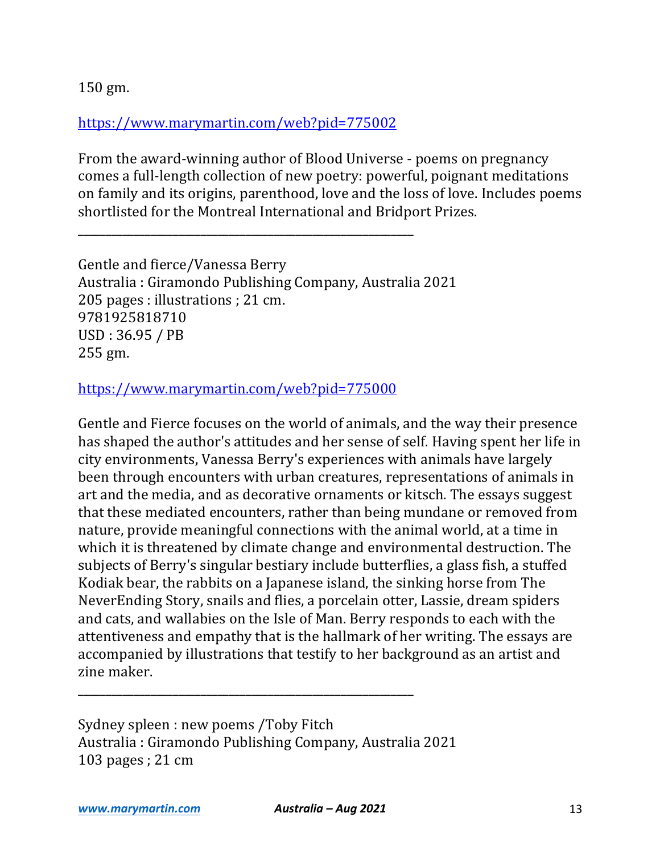# https://www.marymartin.com/web?pid=775002

\_\_\_\_\_\_\_\_\_\_\_\_\_\_\_\_\_\_\_\_\_\_\_\_\_\_\_\_\_\_\_\_\_\_\_\_\_\_\_\_\_\_\_\_\_\_\_\_\_\_\_\_\_\_\_\_\_\_\_\_

From the award-winning author of Blood Universe - poems on pregnancy comes a full-length collection of new poetry: powerful, poignant meditations on family and its origins, parenthood, love and the loss of love. Includes poems shortlisted for the Montreal International and Bridport Prizes.

Gentle and fierce/Vanessa Berry Australia : Giramondo Publishing Company, Australia 2021 205 pages : illustrations ; 21 cm. 9781925818710 USD : 36.95 / PB 255 gm.

## https://www.marymartin.com/web?pid=775000

Gentle and Fierce focuses on the world of animals, and the way their presence has shaped the author's attitudes and her sense of self. Having spent her life in city environments, Vanessa Berry's experiences with animals have largely been through encounters with urban creatures, representations of animals in art and the media, and as decorative ornaments or kitsch. The essays suggest that these mediated encounters, rather than being mundane or removed from nature, provide meaningful connections with the animal world, at a time in which it is threatened by climate change and environmental destruction. The subjects of Berry's singular bestiary include butterflies, a glass fish, a stuffed Kodiak bear, the rabbits on a Japanese island, the sinking horse from The NeverEnding Story, snails and flies, a porcelain otter, Lassie, dream spiders and cats, and wallabies on the Isle of Man. Berry responds to each with the attentiveness and empathy that is the hallmark of her writing. The essays are accompanied by illustrations that testify to her background as an artist and zine maker.

Sydney spleen : new poems /Toby Fitch Australia : Giramondo Publishing Company, Australia 2021 103 pages ; 21 cm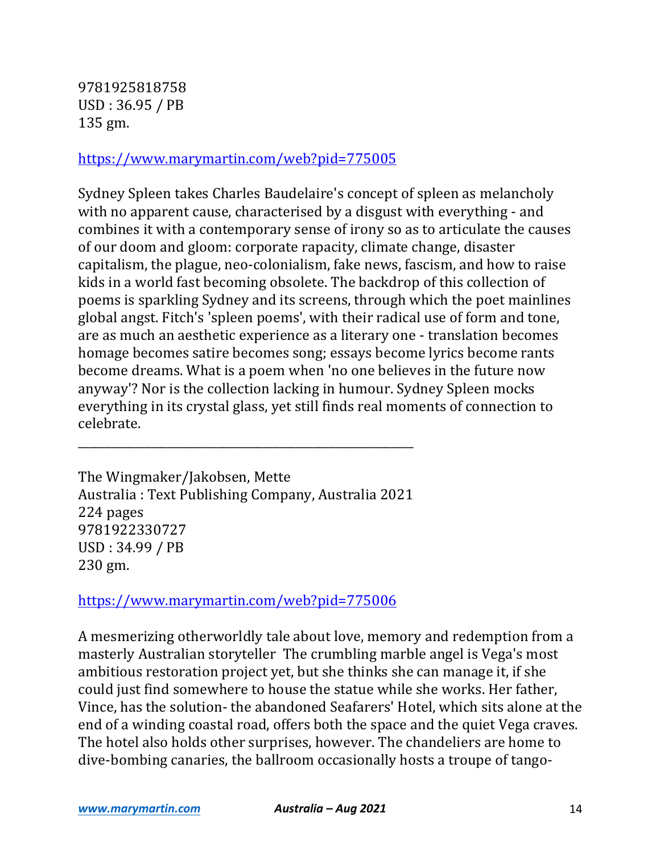9781925818758 USD : 36.95 / PB 135 gm.

#### https://www.marymartin.com/web?pid=775005

Sydney Spleen takes Charles Baudelaire's concept of spleen as melancholy with no apparent cause, characterised by a disgust with everything - and combines it with a contemporary sense of irony so as to articulate the causes of our doom and gloom: corporate rapacity, climate change, disaster capitalism, the plague, neo-colonialism, fake news, fascism, and how to raise kids in a world fast becoming obsolete. The backdrop of this collection of poems is sparkling Sydney and its screens, through which the poet mainlines global angst. Fitch's 'spleen poems', with their radical use of form and tone, are as much an aesthetic experience as a literary one - translation becomes homage becomes satire becomes song; essays become lyrics become rants become dreams. What is a poem when 'no one believes in the future now anyway'? Nor is the collection lacking in humour. Sydney Spleen mocks everything in its crystal glass, yet still finds real moments of connection to celebrate.

The Wingmaker/Jakobsen, Mette Australia : Text Publishing Company, Australia 2021 224 pages 9781922330727 USD : 34.99 / PB 230 gm.

\_\_\_\_\_\_\_\_\_\_\_\_\_\_\_\_\_\_\_\_\_\_\_\_\_\_\_\_\_\_\_\_\_\_\_\_\_\_\_\_\_\_\_\_\_\_\_\_\_\_\_\_\_\_\_\_\_\_\_\_

### https://www.marymartin.com/web?pid=775006

A mesmerizing otherworldly tale about love, memory and redemption from a masterly Australian storyteller The crumbling marble angel is Vega's most ambitious restoration project yet, but she thinks she can manage it, if she could just find somewhere to house the statue while she works. Her father, Vince, has the solution- the abandoned Seafarers' Hotel, which sits alone at the end of a winding coastal road, offers both the space and the quiet Vega craves. The hotel also holds other surprises, however. The chandeliers are home to dive-bombing canaries, the ballroom occasionally hosts a troupe of tango-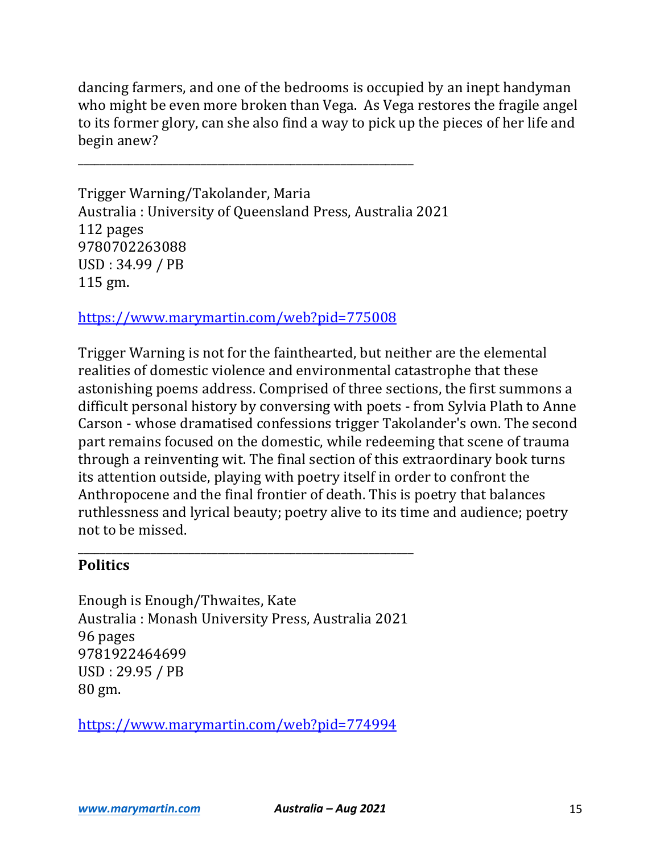dancing farmers, and one of the bedrooms is occupied by an inept handyman who might be even more broken than Vega. As Vega restores the fragile angel to its former glory, can she also find a way to pick up the pieces of her life and begin anew?

\_\_\_\_\_\_\_\_\_\_\_\_\_\_\_\_\_\_\_\_\_\_\_\_\_\_\_\_\_\_\_\_\_\_\_\_\_\_\_\_\_\_\_\_\_\_\_\_\_\_\_\_\_\_\_\_\_\_\_\_

Trigger Warning/Takolander, Maria Australia: University of Queensland Press, Australia 2021 112 pages 9780702263088 USD : 34.99 / PB 115 gm.

https://www.marymartin.com/web?pid=775008

Trigger Warning is not for the fainthearted, but neither are the elemental realities of domestic violence and environmental catastrophe that these astonishing poems address. Comprised of three sections, the first summons a difficult personal history by conversing with poets - from Sylvia Plath to Anne Carson - whose dramatised confessions trigger Takolander's own. The second part remains focused on the domestic, while redeeming that scene of trauma through a reinventing wit. The final section of this extraordinary book turns its attention outside, playing with poetry itself in order to confront the Anthropocene and the final frontier of death. This is poetry that balances ruthlessness and lyrical beauty; poetry alive to its time and audience; poetry not to be missed.

## **Politics**

Enough is Enough/Thwaites, Kate Australia : Monash University Press, Australia 2021 96 pages 9781922464699 USD : 29.95 / PB 80 gm.

\_\_\_\_\_\_\_\_\_\_\_\_\_\_\_\_\_\_\_\_\_\_\_\_\_\_\_\_\_\_\_\_\_\_\_\_\_\_\_\_\_\_\_\_\_\_\_\_\_\_\_\_\_\_\_\_\_\_\_\_

https://www.marymartin.com/web?pid=774994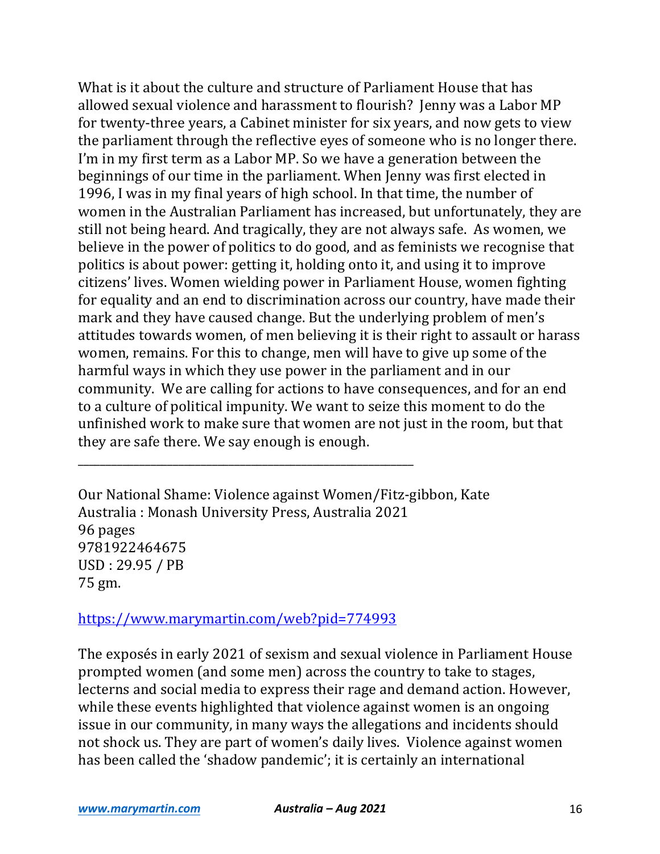What is it about the culture and structure of Parliament House that has allowed sexual violence and harassment to flourish? Jenny was a Labor MP for twenty-three years, a Cabinet minister for six years, and now gets to view the parliament through the reflective eyes of someone who is no longer there. I'm in my first term as a Labor MP. So we have a generation between the beginnings of our time in the parliament. When Jenny was first elected in 1996, I was in my final years of high school. In that time, the number of women in the Australian Parliament has increased, but unfortunately, they are still not being heard. And tragically, they are not always safe. As women, we believe in the power of politics to do good, and as feminists we recognise that politics is about power: getting it, holding onto it, and using it to improve citizens' lives. Women wielding power in Parliament House, women fighting for equality and an end to discrimination across our country, have made their mark and they have caused change. But the underlying problem of men's attitudes towards women, of men believing it is their right to assault or harass women, remains. For this to change, men will have to give up some of the harmful ways in which they use power in the parliament and in our community. We are calling for actions to have consequences, and for an end to a culture of political impunity. We want to seize this moment to do the unfinished work to make sure that women are not just in the room, but that they are safe there. We say enough is enough.

Our National Shame: Violence against Women/Fitz-gibbon, Kate Australia : Monash University Press, Australia 2021 96 pages 9781922464675 USD : 29.95 / PB 75 gm.

https://www.marymartin.com/web?pid=774993

\_\_\_\_\_\_\_\_\_\_\_\_\_\_\_\_\_\_\_\_\_\_\_\_\_\_\_\_\_\_\_\_\_\_\_\_\_\_\_\_\_\_\_\_\_\_\_\_\_\_\_\_\_\_\_\_\_\_\_\_

The exposés in early 2021 of sexism and sexual violence in Parliament House prompted women (and some men) across the country to take to stages, lecterns and social media to express their rage and demand action. However, while these events highlighted that violence against women is an ongoing issue in our community, in many ways the allegations and incidents should not shock us. They are part of women's daily lives. Violence against women has been called the 'shadow pandemic'; it is certainly an international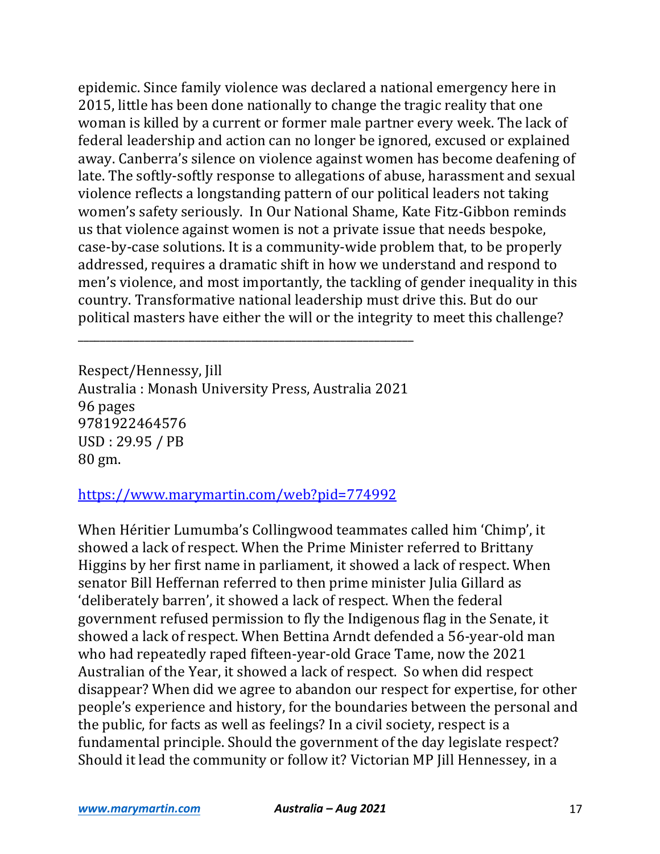epidemic. Since family violence was declared a national emergency here in 2015, little has been done nationally to change the tragic reality that one woman is killed by a current or former male partner every week. The lack of federal leadership and action can no longer be ignored, excused or explained away. Canberra's silence on violence against women has become deafening of late. The softly-softly response to allegations of abuse, harassment and sexual violence reflects a longstanding pattern of our political leaders not taking women's safety seriously. In Our National Shame, Kate Fitz-Gibbon reminds us that violence against women is not a private issue that needs bespoke, case-by-case solutions. It is a community-wide problem that, to be properly addressed, requires a dramatic shift in how we understand and respond to men's violence, and most importantly, the tackling of gender inequality in this country. Transformative national leadership must drive this. But do our political masters have either the will or the integrity to meet this challenge?

Respect/Hennessy, Jill Australia : Monash University Press, Australia 2021 96 pages 9781922464576 USD : 29.95 / PB 80 gm.

\_\_\_\_\_\_\_\_\_\_\_\_\_\_\_\_\_\_\_\_\_\_\_\_\_\_\_\_\_\_\_\_\_\_\_\_\_\_\_\_\_\_\_\_\_\_\_\_\_\_\_\_\_\_\_\_\_\_\_\_

## https://www.marymartin.com/web?pid=774992

When Héritier Lumumba's Collingwood teammates called him 'Chimp', it showed a lack of respect. When the Prime Minister referred to Brittany Higgins by her first name in parliament, it showed a lack of respect. When senator Bill Heffernan referred to then prime minister Julia Gillard as 'deliberately barren', it showed a lack of respect. When the federal government refused permission to fly the Indigenous flag in the Senate, it showed a lack of respect. When Bettina Arndt defended a 56-year-old man who had repeatedly raped fifteen-year-old Grace Tame, now the 2021 Australian of the Year, it showed a lack of respect. So when did respect disappear? When did we agree to abandon our respect for expertise, for other people's experience and history, for the boundaries between the personal and the public, for facts as well as feelings? In a civil society, respect is a fundamental principle. Should the government of the day legislate respect? Should it lead the community or follow it? Victorian MP Jill Hennessey, in a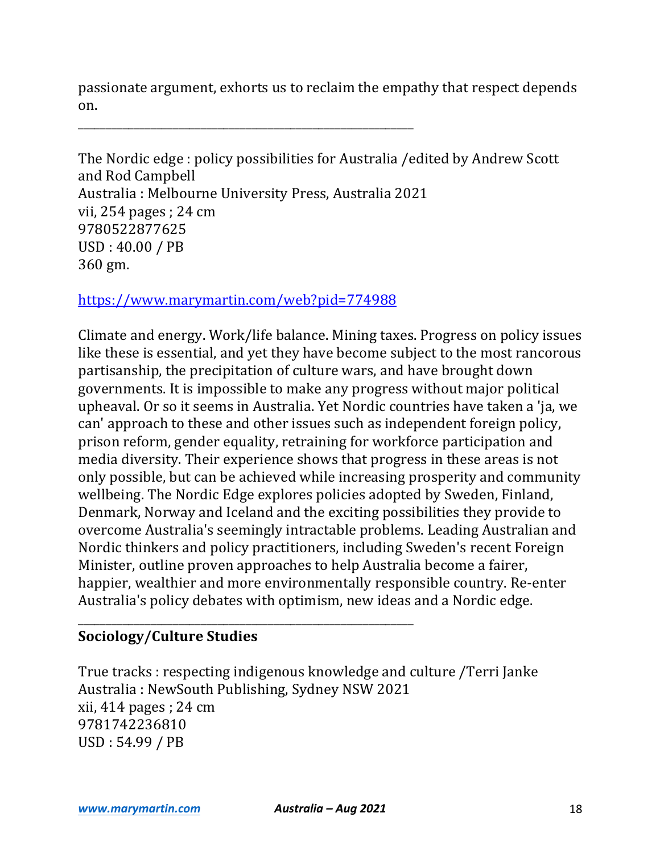passionate argument, exhorts us to reclaim the empathy that respect depends on.

\_\_\_\_\_\_\_\_\_\_\_\_\_\_\_\_\_\_\_\_\_\_\_\_\_\_\_\_\_\_\_\_\_\_\_\_\_\_\_\_\_\_\_\_\_\_\_\_\_\_\_\_\_\_\_\_\_\_\_\_

The Nordic edge: policy possibilities for Australia / edited by Andrew Scott and Rod Campbell Australia : Melbourne University Press, Australia 2021 vii, 254 pages ; 24 cm 9780522877625 USD: 40.00 / PB 360 gm.

https://www.marymartin.com/web?pid=774988

\_\_\_\_\_\_\_\_\_\_\_\_\_\_\_\_\_\_\_\_\_\_\_\_\_\_\_\_\_\_\_\_\_\_\_\_\_\_\_\_\_\_\_\_\_\_\_\_\_\_\_\_\_\_\_\_\_\_\_\_

Climate and energy. Work/life balance. Mining taxes. Progress on policy issues like these is essential, and yet they have become subject to the most rancorous partisanship, the precipitation of culture wars, and have brought down governments. It is impossible to make any progress without major political upheaval. Or so it seems in Australia. Yet Nordic countries have taken a 'ja, we can' approach to these and other issues such as independent foreign policy, prison reform, gender equality, retraining for workforce participation and media diversity. Their experience shows that progress in these areas is not only possible, but can be achieved while increasing prosperity and community wellbeing. The Nordic Edge explores policies adopted by Sweden, Finland, Denmark, Norway and Iceland and the exciting possibilities they provide to overcome Australia's seemingly intractable problems. Leading Australian and Nordic thinkers and policy practitioners, including Sweden's recent Foreign Minister, outline proven approaches to help Australia become a fairer, happier, wealthier and more environmentally responsible country. Re-enter Australia's policy debates with optimism, new ideas and a Nordic edge.

## **Sociology/Culture Studies**

True tracks: respecting indigenous knowledge and culture /Terri Janke Australia: NewSouth Publishing, Sydney NSW 2021  $xii$ , 414 pages ; 24 cm 9781742236810 USD: 54.99 / PB